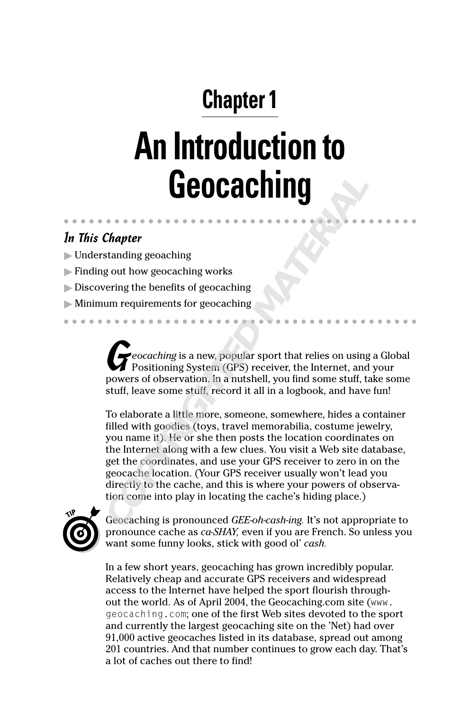# **Chapter 1 An Introduction to Geocaching**

#### In This Chapter

- Understanding geoaching
- Finding out how geocaching works
- Discovering the benefits of geocaching
- Minimum requirements for geocaching

**G**eocaching is a new, popular sport that relies on using a Global<br>Positioning System (GPS) receiver, the Internet, and your<br>powers of observation. In a nutshell, you find some stuff, take some powers of observation. In a nutshell, you find some stuff, take some stuff, leave some stuff, record it all in a logbook, and have fun!

To elaborate a little more, someone, somewhere, hides a container filled with goodies (toys, travel memorabilia, costume jewelry, you name it). He or she then posts the location coordinates on the Internet along with a few clues. You visit a Web site database, get the coordinates, and use your GPS receiver to zero in on the geocache location. (Your GPS receiver usually won't lead you directly to the cache, and this is where your powers of observation come into play in locating the cache's hiding place.) **Chapter**<br> **Chapter**<br>
standing geoaching<br>
gout how geocaching works<br>
vering the benefits of geocaching<br>
uum requirements for geocaching<br>
uum requirements for geocaching<br>
uum requirements for geocaching<br> **C**<br>
powers of obse



Geocaching is pronounced *GEE-oh-cash-ing.* It's not appropriate to pronounce cache as *ca-SHAY,* even if you are French. So unless you want some funny looks, stick with good ol' *cash.*

In a few short years, geocaching has grown incredibly popular. Relatively cheap and accurate GPS receivers and widespread access to the Internet have helped the sport flourish throughout the world. As of April 2004, the Geocaching.com site (www. geocaching.com; one of the first Web sites devoted to the sport and currently the largest geocaching site on the 'Net) had over 91,000 active geocaches listed in its database, spread out among 201 countries. And that number continues to grow each day. That's a lot of caches out there to find!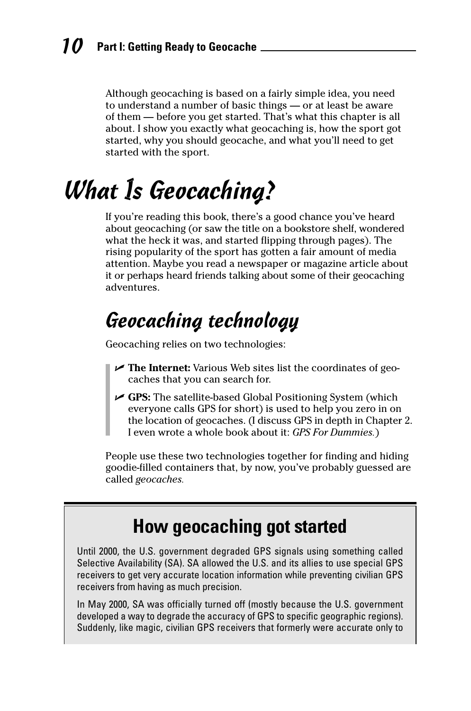Although geocaching is based on a fairly simple idea, you need to understand a number of basic things — or at least be aware of them — before you get started. That's what this chapter is all about. I show you exactly what geocaching is, how the sport got started, why you should geocache, and what you'll need to get started with the sport.

## What Is Geocaching?

If you're reading this book, there's a good chance you've heard about geocaching (or saw the title on a bookstore shelf, wondered what the heck it was, and started flipping through pages). The rising popularity of the sport has gotten a fair amount of media attention. Maybe you read a newspaper or magazine article about it or perhaps heard friends talking about some of their geocaching adventures.

### Geocaching technology

Geocaching relies on two technologies:

- **The Internet:** Various Web sites list the coordinates of geocaches that you can search for.
- **GPS:** The satellite-based Global Positioning System (which everyone calls GPS for short) is used to help you zero in on the location of geocaches. (I discuss GPS in depth in Chapter 2. I even wrote a whole book about it: *GPS For Dummies.*)

People use these two technologies together for finding and hiding goodie-filled containers that, by now, you've probably guessed are called *geocaches.*

### **How geocaching got started**

Until 2000, the U.S. government degraded GPS signals using something called Selective Availability (SA). SA allowed the U.S. and its allies to use special GPS receivers to get very accurate location information while preventing civilian GPS receivers from having as much precision.

In May 2000, SA was officially turned off (mostly because the U.S. government developed a way to degrade the accuracy of GPS to specific geographic regions). Suddenly, like magic, civilian GPS receivers that formerly were accurate only to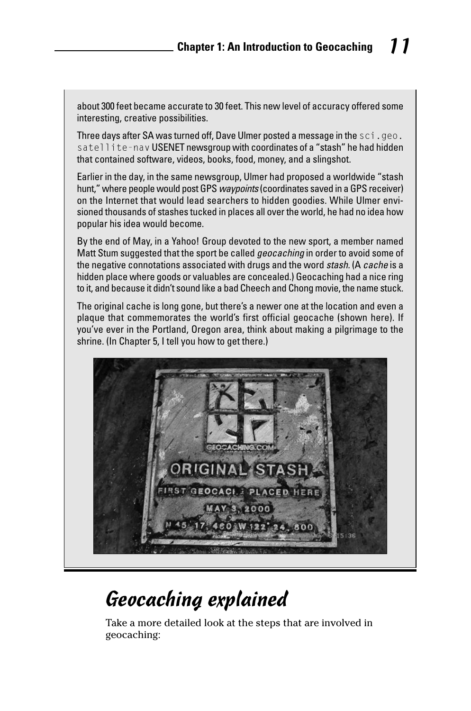about 300 feet became accurate to 30 feet. This new level of accuracy offered some interesting, creative possibilities.

Three days after SA was turned off, Dave Ulmer posted a message in the sci.geo. satellite-nav USENET newsgroup with coordinates of a "stash" he had hidden that contained software, videos, books, food, money, and a slingshot.

Earlier in the day, in the same newsgroup, Ulmer had proposed a worldwide "stash hunt," where people would post GPS *waypoints* (coordinates saved in a GPS receiver) on the Internet that would lead searchers to hidden goodies. While Ulmer envisioned thousands of stashes tucked in places all over the world, he had no idea how popular his idea would become.

By the end of May, in a Yahoo! Group devoted to the new sport, a member named Matt Stum suggested that the sport be called *geocaching* in order to avoid some of the negative connotations associated with drugs and the word *stash.* (A *cache* is a hidden place where goods or valuables are concealed.) Geocaching had a nice ring to it, and because it didn't sound like a bad Cheech and Chong movie, the name stuck.

The original cache is long gone, but there's a newer one at the location and even a plaque that commemorates the world's first official geocache (shown here). If you've ever in the Portland, Oregon area, think about making a pilgrimage to the shrine. (In Chapter 5, I tell you how to get there.)



### Geocaching explained

Take a more detailed look at the steps that are involved in geocaching: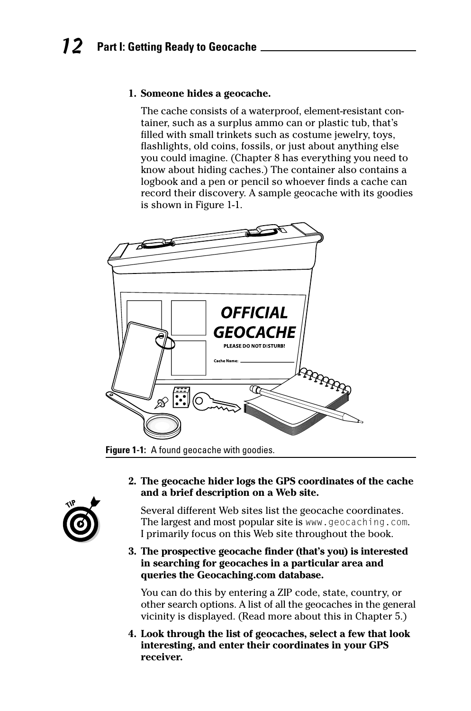#### **1. Someone hides a geocache.**

The cache consists of a waterproof, element-resistant container, such as a surplus ammo can or plastic tub, that's filled with small trinkets such as costume jewelry, toys, flashlights, old coins, fossils, or just about anything else you could imagine. (Chapter 8 has everything you need to know about hiding caches.) The container also contains a logbook and a pen or pencil so whoever finds a cache can record their discovery. A sample geocache with its goodies is shown in Figure 1-1.



**Figure 1-1:** A found geocache with goodies.

**2. The geocache hider logs the GPS coordinates of the cache and a brief description on a Web site.**



Several different Web sites list the geocache coordinates. The largest and most popular site is www.geocaching.com. I primarily focus on this Web site throughout the book.

**3. The prospective geocache finder (that's you) is interested in searching for geocaches in a particular area and queries the Geocaching.com database.**

You can do this by entering a ZIP code, state, country, or other search options. A list of all the geocaches in the general vicinity is displayed. (Read more about this in Chapter 5.)

**4. Look through the list of geocaches, select a few that look interesting, and enter their coordinates in your GPS receiver.**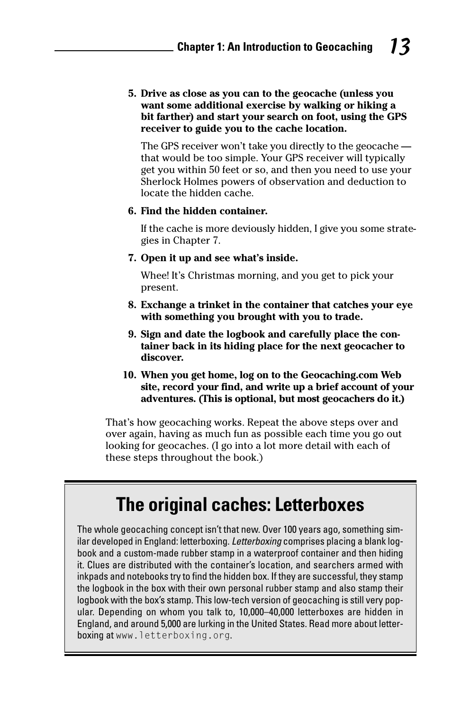**5. Drive as close as you can to the geocache (unless you want some additional exercise by walking or hiking a bit farther) and start your search on foot, using the GPS receiver to guide you to the cache location.**

The GPS receiver won't take you directly to the geocache that would be too simple. Your GPS receiver will typically get you within 50 feet or so, and then you need to use your Sherlock Holmes powers of observation and deduction to locate the hidden cache.

#### **6. Find the hidden container.**

If the cache is more deviously hidden, I give you some strategies in Chapter 7.

**7. Open it up and see what's inside.**

Whee! It's Christmas morning, and you get to pick your present.

- **8. Exchange a trinket in the container that catches your eye with something you brought with you to trade.**
- **9. Sign and date the logbook and carefully place the container back in its hiding place for the next geocacher to discover.**
- **10. When you get home, log on to the Geocaching.com Web site, record your find, and write up a brief account of your adventures. (This is optional, but most geocachers do it.)**

That's how geocaching works. Repeat the above steps over and over again, having as much fun as possible each time you go out looking for geocaches. (I go into a lot more detail with each of these steps throughout the book.)

### **The original caches: Letterboxes**

The whole geocaching concept isn't that new. Over 100 years ago, something similar developed in England: letterboxing. *Letterboxing* comprises placing a blank logbook and a custom-made rubber stamp in a waterproof container and then hiding it. Clues are distributed with the container's location, and searchers armed with inkpads and notebooks try to find the hidden box. If they are successful, they stamp the logbook in the box with their own personal rubber stamp and also stamp their logbook with the box's stamp. This low-tech version of geocaching is still very popular. Depending on whom you talk to, 10,000–40,000 letterboxes are hidden in England, and around 5,000 are lurking in the United States. Read more about letterboxing at www.letterboxing.org.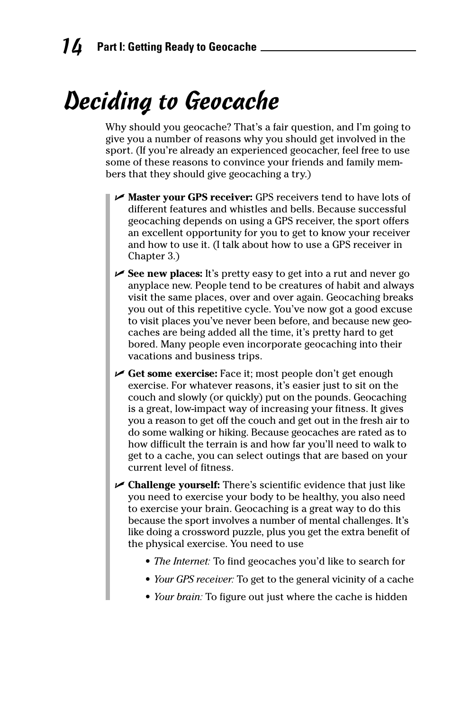## Deciding to Geocache

Why should you geocache? That's a fair question, and I'm going to give you a number of reasons why you should get involved in the sport. (If you're already an experienced geocacher, feel free to use some of these reasons to convince your friends and family members that they should give geocaching a try.)

- **Master your GPS receiver:** GPS receivers tend to have lots of different features and whistles and bells. Because successful geocaching depends on using a GPS receiver, the sport offers an excellent opportunity for you to get to know your receiver and how to use it. (I talk about how to use a GPS receiver in Chapter 3.)
- ► See new places: It's pretty easy to get into a rut and never go anyplace new. People tend to be creatures of habit and always visit the same places, over and over again. Geocaching breaks you out of this repetitive cycle. You've now got a good excuse to visit places you've never been before, and because new geocaches are being added all the time, it's pretty hard to get bored. Many people even incorporate geocaching into their vacations and business trips.
- **Get some exercise:** Face it; most people don't get enough exercise. For whatever reasons, it's easier just to sit on the couch and slowly (or quickly) put on the pounds. Geocaching is a great, low-impact way of increasing your fitness. It gives you a reason to get off the couch and get out in the fresh air to do some walking or hiking. Because geocaches are rated as to how difficult the terrain is and how far you'll need to walk to get to a cache, you can select outings that are based on your current level of fitness.
- **Challenge yourself:** There's scientific evidence that just like you need to exercise your body to be healthy, you also need to exercise your brain. Geocaching is a great way to do this because the sport involves a number of mental challenges. It's like doing a crossword puzzle, plus you get the extra benefit of the physical exercise. You need to use
	- *The Internet:* To find geocaches you'd like to search for
	- *Your GPS receiver:* To get to the general vicinity of a cache
	- *Your brain:* To figure out just where the cache is hidden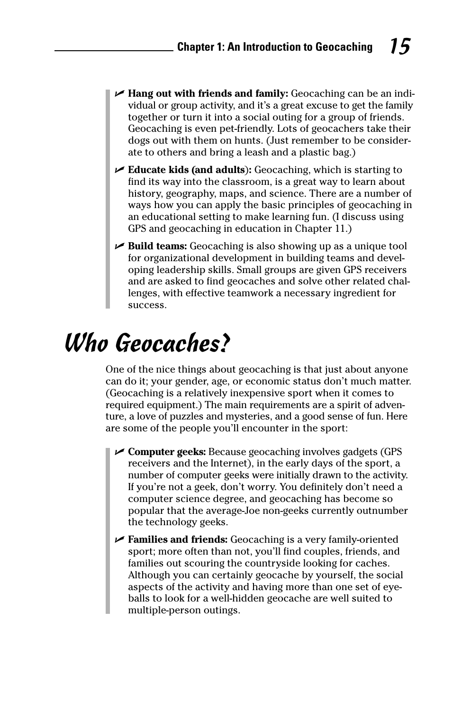- **Hang out with friends and family:** Geocaching can be an individual or group activity, and it's a great excuse to get the family together or turn it into a social outing for a group of friends. Geocaching is even pet-friendly. Lots of geocachers take their dogs out with them on hunts. (Just remember to be considerate to others and bring a leash and a plastic bag.)
- **Educate kids (and adults**)**:** Geocaching, which is starting to find its way into the classroom, is a great way to learn about history, geography, maps, and science. There are a number of ways how you can apply the basic principles of geocaching in an educational setting to make learning fun. (I discuss using GPS and geocaching in education in Chapter 11.)
- **Build teams:** Geocaching is also showing up as a unique tool for organizational development in building teams and developing leadership skills. Small groups are given GPS receivers and are asked to find geocaches and solve other related challenges, with effective teamwork a necessary ingredient for success.

### Who Geocaches?

One of the nice things about geocaching is that just about anyone can do it; your gender, age, or economic status don't much matter. (Geocaching is a relatively inexpensive sport when it comes to required equipment.) The main requirements are a spirit of adventure, a love of puzzles and mysteries, and a good sense of fun. Here are some of the people you'll encounter in the sport:

- **Computer geeks:** Because geocaching involves gadgets (GPS receivers and the Internet), in the early days of the sport, a number of computer geeks were initially drawn to the activity. If you're not a geek, don't worry. You definitely don't need a computer science degree, and geocaching has become so popular that the average-Joe non-geeks currently outnumber the technology geeks.
- **Families and friends:** Geocaching is a very family-oriented sport; more often than not, you'll find couples, friends, and families out scouring the countryside looking for caches. Although you can certainly geocache by yourself, the social aspects of the activity and having more than one set of eyeballs to look for a well-hidden geocache are well suited to multiple-person outings.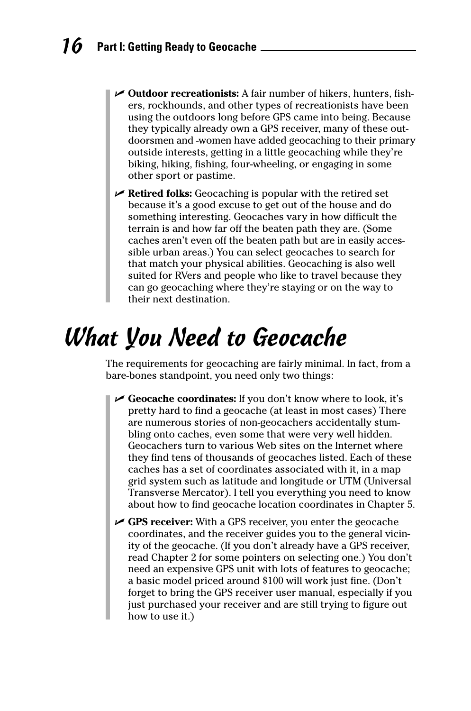- **Outdoor recreationists:** A fair number of hikers, hunters, fishers, rockhounds, and other types of recreationists have been using the outdoors long before GPS came into being. Because they typically already own a GPS receiver, many of these outdoorsmen and -women have added geocaching to their primary outside interests, getting in a little geocaching while they're biking, hiking, fishing, four-wheeling, or engaging in some other sport or pastime.
- **Retired folks:** Geocaching is popular with the retired set because it's a good excuse to get out of the house and do something interesting. Geocaches vary in how difficult the terrain is and how far off the beaten path they are. (Some caches aren't even off the beaten path but are in easily accessible urban areas.) You can select geocaches to search for that match your physical abilities. Geocaching is also well suited for RVers and people who like to travel because they can go geocaching where they're staying or on the way to their next destination.

### What You Need to Geocache

The requirements for geocaching are fairly minimal. In fact, from a bare-bones standpoint, you need only two things:

- **Geocache coordinates:** If you don't know where to look, it's pretty hard to find a geocache (at least in most cases) There are numerous stories of non-geocachers accidentally stumbling onto caches, even some that were very well hidden. Geocachers turn to various Web sites on the Internet where they find tens of thousands of geocaches listed. Each of these caches has a set of coordinates associated with it, in a map grid system such as latitude and longitude or UTM (Universal Transverse Mercator). I tell you everything you need to know about how to find geocache location coordinates in Chapter 5.
- **GPS receiver:** With a GPS receiver, you enter the geocache coordinates, and the receiver guides you to the general vicinity of the geocache. (If you don't already have a GPS receiver, read Chapter 2 for some pointers on selecting one.) You don't need an expensive GPS unit with lots of features to geocache; a basic model priced around \$100 will work just fine. (Don't forget to bring the GPS receiver user manual, especially if you just purchased your receiver and are still trying to figure out how to use it.)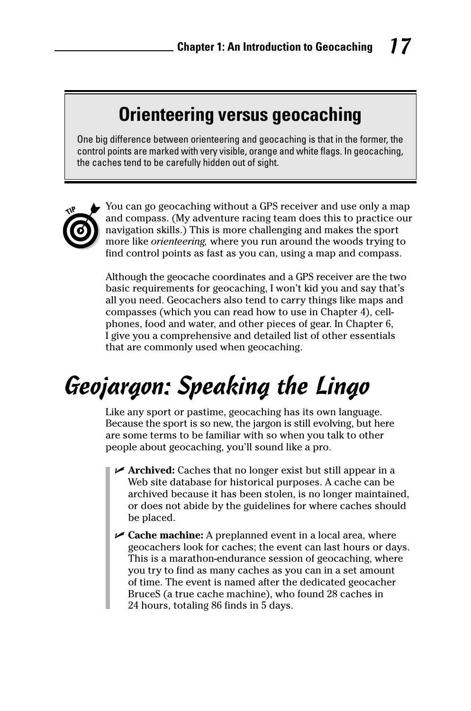### **Orienteering versus geocaching**

One big difference between orienteering and geocaching is that in the former, the control points are marked with very visible, orange and white flags. In geocaching, the caches tend to be carefully hidden out of sight.



You can go geocaching without a GPS receiver and use only a map and compass. (My adventure racing team does this to practice our navigation skills.) This is more challenging and makes the sport more like *orienteering,* where you run around the woods trying to find control points as fast as you can, using a map and compass.

Although the geocache coordinates and a GPS receiver are the two basic requirements for geocaching, I won't kid you and say that's all you need. Geocachers also tend to carry things like maps and compasses (which you can read how to use in Chapter 4), cellphones, food and water, and other pieces of gear. In Chapter 6, I give you a comprehensive and detailed list of other essentials that are commonly used when geocaching.

## Geojargon: Speaking the Lingo

Like any sport or pastime, geocaching has its own language. Because the sport is so new, the jargon is still evolving, but here are some terms to be familiar with so when you talk to other people about geocaching, you'll sound like a pro.

- **Archived:** Caches that no longer exist but still appear in a Web site database for historical purposes. A cache can be archived because it has been stolen, is no longer maintained, or does not abide by the guidelines for where caches should be placed.
- **Cache machine:** A preplanned event in a local area, where geocachers look for caches; the event can last hours or days. This is a marathon-endurance session of geocaching, where you try to find as many caches as you can in a set amount of time. The event is named after the dedicated geocacher BruceS (a true cache machine), who found 28 caches in 24 hours, totaling 86 finds in 5 days.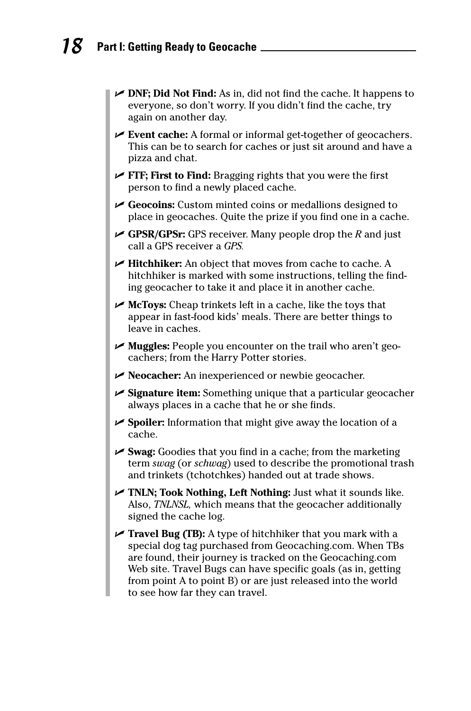- **DNF; Did Not Find:** As in, did not find the cache. It happens to everyone, so don't worry. If you didn't find the cache, try again on another day.
- **Event cache:** A formal or informal get-together of geocachers. This can be to search for caches or just sit around and have a pizza and chat.
- **FTF; First to Find:** Bragging rights that you were the first person to find a newly placed cache.
- Geocoins: Custom minted coins or medallions designed to place in geocaches. Quite the prize if you find one in a cache.
- **GPSR/GPSr:** GPS receiver. Many people drop the *R* and just call a GPS receiver a *GPS.*
- **Hitchhiker:** An object that moves from cache to cache. A hitchhiker is marked with some instructions, telling the finding geocacher to take it and place it in another cache.
- **McToys:** Cheap trinkets left in a cache, like the toys that appear in fast-food kids' meals. There are better things to leave in caches.
- **Muggles:** People you encounter on the trail who aren't geocachers; from the Harry Potter stories.
- **Neocacher:** An inexperienced or newbie geocacher.
- **Signature item:** Something unique that a particular geocacher always places in a cache that he or she finds.
- **Spoiler:** Information that might give away the location of a cache.
- ► **Swag:** Goodies that you find in a cache; from the marketing term *swag* (or *schwag*) used to describe the promotional trash and trinkets (tchotchkes) handed out at trade shows.
- **TNLN; Took Nothing, Left Nothing:** Just what it sounds like. Also, *TNLNSL,* which means that the geocacher additionally signed the cache log.
- **Travel Bug (TB):** A type of hitchhiker that you mark with a special dog tag purchased from Geocaching.com. When TBs are found, their journey is tracked on the Geocaching.com Web site. Travel Bugs can have specific goals (as in, getting from point A to point B) or are just released into the world to see how far they can travel.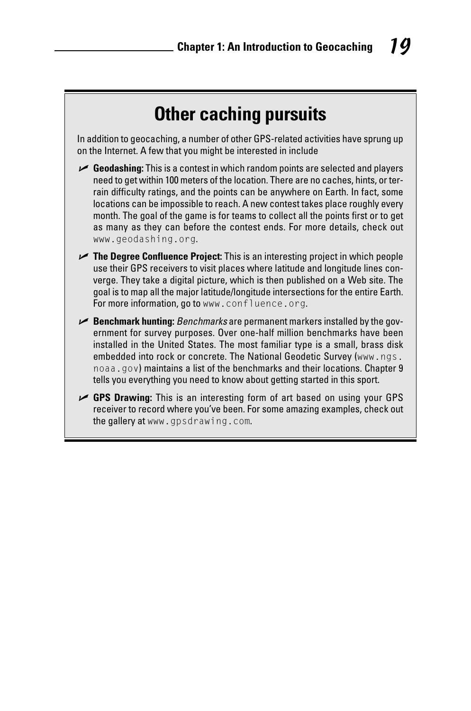